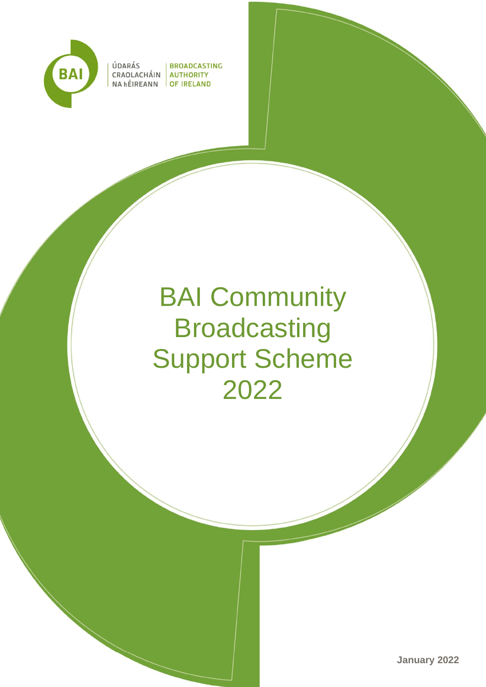

ÚDARÁS

| BROADCASTING CRAOLACHÁIN AUTHORITY NA hÉIREANN OF IRELAND

# BAI Community **Broadcasting** Support Scheme 2022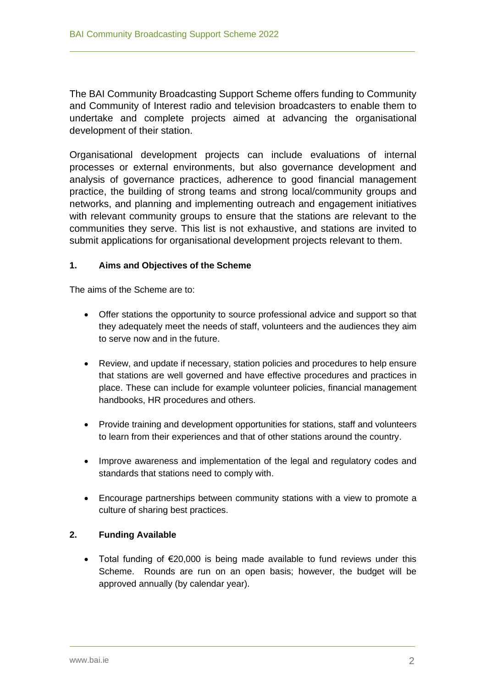The BAI Community Broadcasting Support Scheme offers funding to Community and Community of Interest radio and television broadcasters to enable them to undertake and complete projects aimed at advancing the organisational development of their station.

Organisational development projects can include evaluations of internal processes or external environments, but also governance development and analysis of governance practices, adherence to good financial management practice, the building of strong teams and strong local/community groups and networks, and planning and implementing outreach and engagement initiatives with relevant community groups to ensure that the stations are relevant to the communities they serve. This list is not exhaustive, and stations are invited to submit applications for organisational development projects relevant to them.

## **1. Aims and Objectives of the Scheme**

The aims of the Scheme are to:

- Offer stations the opportunity to source professional advice and support so that they adequately meet the needs of staff, volunteers and the audiences they aim to serve now and in the future.
- Review, and update if necessary, station policies and procedures to help ensure that stations are well governed and have effective procedures and practices in place. These can include for example volunteer policies, financial management handbooks, HR procedures and others.
- Provide training and development opportunities for stations, staff and volunteers to learn from their experiences and that of other stations around the country.
- Improve awareness and implementation of the legal and regulatory codes and standards that stations need to comply with.
- Encourage partnerships between community stations with a view to promote a culture of sharing best practices.

## **2. Funding Available**

• Total funding of €20,000 is being made available to fund reviews under this Scheme. Rounds are run on an open basis; however, the budget will be approved annually (by calendar year).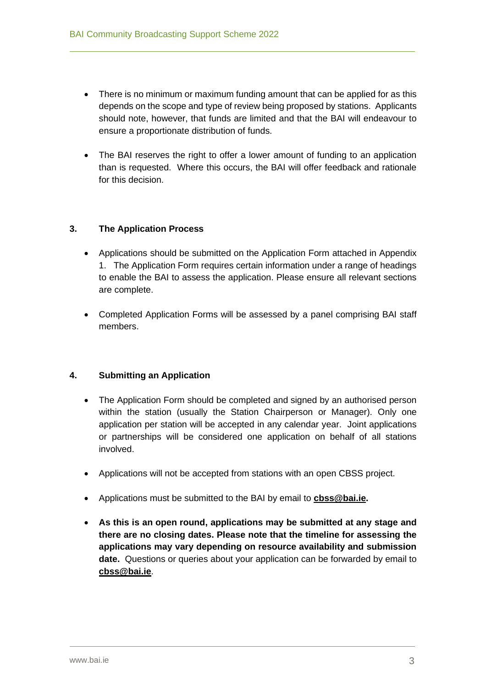- There is no minimum or maximum funding amount that can be applied for as this depends on the scope and type of review being proposed by stations. Applicants should note, however, that funds are limited and that the BAI will endeavour to ensure a proportionate distribution of funds.
- The BAI reserves the right to offer a lower amount of funding to an application than is requested. Where this occurs, the BAI will offer feedback and rationale for this decision.

## **3. The Application Process**

- Applications should be submitted on the Application Form attached in Appendix 1. The Application Form requires certain information under a range of headings to enable the BAI to assess the application. Please ensure all relevant sections are complete.
- Completed Application Forms will be assessed by a panel comprising BAI staff members.

#### **4. Submitting an Application**

- The Application Form should be completed and signed by an authorised person within the station (usually the Station Chairperson or Manager). Only one application per station will be accepted in any calendar year. Joint applications or partnerships will be considered one application on behalf of all stations involved.
- Applications will not be accepted from stations with an open CBSS project.
- Applications must be submitted to the BAI by email to **[cbss@bai.ie.](mailto:cbss@bai.ie)**
- **As this is an open round, applications may be submitted at any stage and there are no closing dates. Please note that the timeline for assessing the applications may vary depending on resource availability and submission date.** Questions or queries about your application can be forwarded by email to **[cbss@bai.ie](mailto:cbss@bai.ie)**.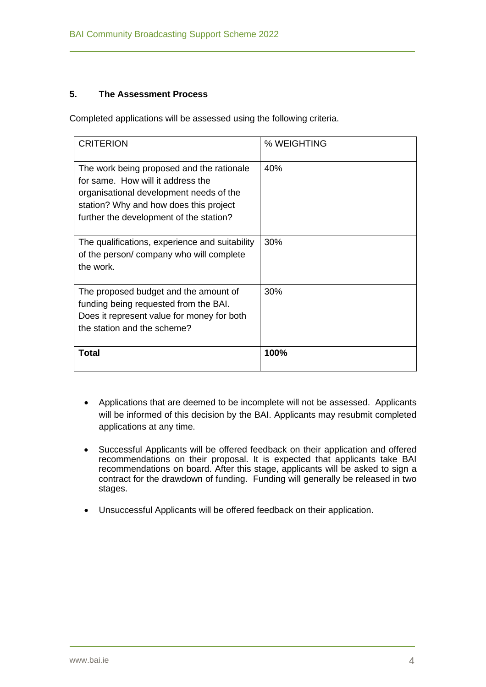#### **5. The Assessment Process**

Completed applications will be assessed using the following criteria.

| <b>CRITERION</b>                                                                                                                                                                                               | % WEIGHTING |
|----------------------------------------------------------------------------------------------------------------------------------------------------------------------------------------------------------------|-------------|
| The work being proposed and the rationale<br>for same. How will it address the<br>organisational development needs of the<br>station? Why and how does this project<br>further the development of the station? | 40%         |
| The qualifications, experience and suitability<br>of the person/company who will complete<br>the work.                                                                                                         | 30%         |
| The proposed budget and the amount of<br>funding being requested from the BAI.<br>Does it represent value for money for both<br>the station and the scheme?                                                    | 30%         |
| Total                                                                                                                                                                                                          | 100%        |

- Applications that are deemed to be incomplete will not be assessed. Applicants will be informed of this decision by the BAI. Applicants may resubmit completed applications at any time.
- Successful Applicants will be offered feedback on their application and offered recommendations on their proposal. It is expected that applicants take BAI recommendations on board. After this stage, applicants will be asked to sign a contract for the drawdown of funding. Funding will generally be released in two stages.
- Unsuccessful Applicants will be offered feedback on their application.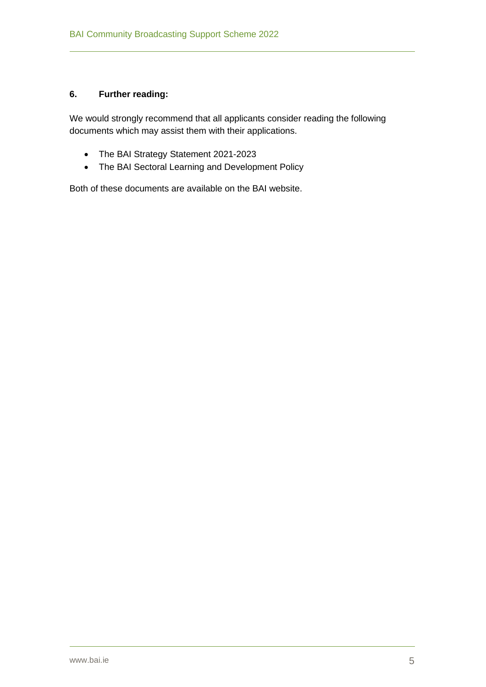## **6. Further reading:**

We would strongly recommend that all applicants consider reading the following documents which may assist them with their applications.

- The BAI Strategy Statement 2021-2023
- The BAI Sectoral Learning and Development Policy

Both of these documents are available on the BAI website.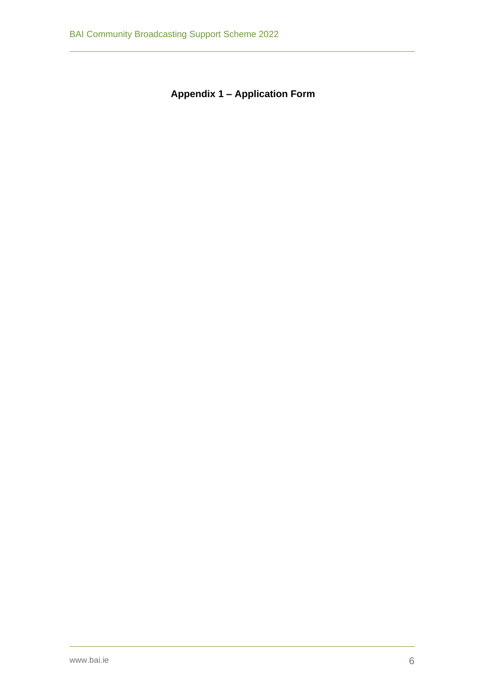**Appendix 1 – Application Form**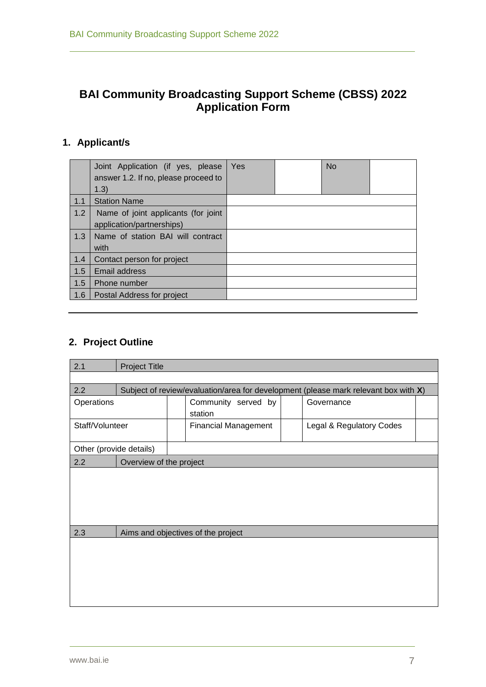## **BAI Community Broadcasting Support Scheme (CBSS) 2022 Application Form**

# **1. Applicant/s**

|     | Joint Application (if yes, please<br>answer 1.2. If no, please proceed to<br>1.3) | Yes | <b>No</b> |  |
|-----|-----------------------------------------------------------------------------------|-----|-----------|--|
| 1.1 | <b>Station Name</b>                                                               |     |           |  |
| 1.2 | Name of joint applicants (for joint<br>application/partnerships)                  |     |           |  |
| 1.3 | Name of station BAI will contract<br>with                                         |     |           |  |
| 1.4 | Contact person for project                                                        |     |           |  |
| 1.5 | Email address                                                                     |     |           |  |
| 1.5 | Phone number                                                                      |     |           |  |
| 1.6 | Postal Address for project                                                        |     |           |  |

## **2. Project Outline**

| 2.1                     | <b>Project Title</b>               |                                |                                                                                     |  |
|-------------------------|------------------------------------|--------------------------------|-------------------------------------------------------------------------------------|--|
|                         |                                    |                                |                                                                                     |  |
| 2.2                     |                                    |                                | Subject of review/evaluation/area for development (please mark relevant box with X) |  |
| Operations              |                                    | Community served by<br>station | Governance                                                                          |  |
| Staff/Volunteer         |                                    | <b>Financial Management</b>    | Legal & Regulatory Codes                                                            |  |
| Other (provide details) |                                    |                                |                                                                                     |  |
| 2.2                     | Overview of the project            |                                |                                                                                     |  |
|                         |                                    |                                |                                                                                     |  |
| 2.3                     | Aims and objectives of the project |                                |                                                                                     |  |
|                         |                                    |                                |                                                                                     |  |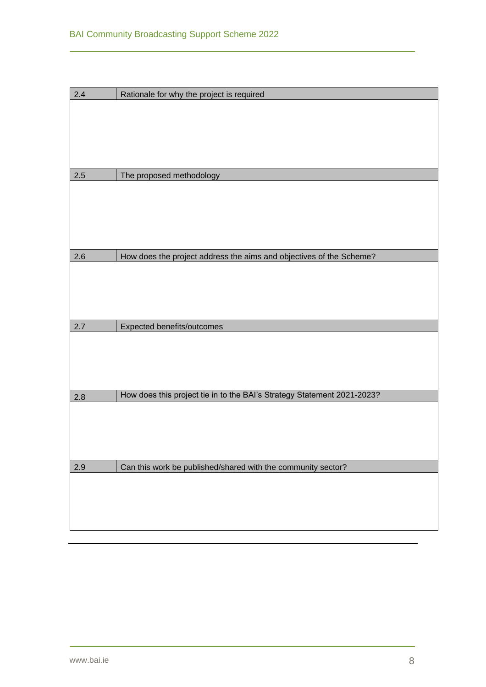| 2.4     | Rationale for why the project is required                               |
|---------|-------------------------------------------------------------------------|
|         |                                                                         |
|         |                                                                         |
|         |                                                                         |
|         |                                                                         |
|         |                                                                         |
| $2.5\,$ | The proposed methodology                                                |
|         |                                                                         |
|         |                                                                         |
|         |                                                                         |
|         |                                                                         |
|         |                                                                         |
| 2.6     | How does the project address the aims and objectives of the Scheme?     |
|         |                                                                         |
|         |                                                                         |
|         |                                                                         |
|         |                                                                         |
| 2.7     | Expected benefits/outcomes                                              |
|         |                                                                         |
|         |                                                                         |
|         |                                                                         |
|         |                                                                         |
| 2.8     | How does this project tie in to the BAI's Strategy Statement 2021-2023? |
|         |                                                                         |
|         |                                                                         |
|         |                                                                         |
|         |                                                                         |
|         |                                                                         |
| 2.9     | Can this work be published/shared with the community sector?            |
|         |                                                                         |
|         |                                                                         |
|         |                                                                         |
|         |                                                                         |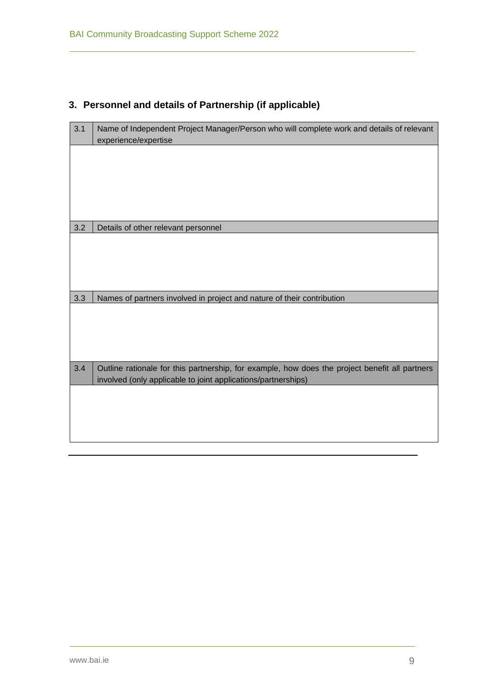# **3. Personnel and details of Partnership (if applicable)**

| 3.1 | Name of Independent Project Manager/Person who will complete work and details of relevant<br>experience/expertise                                               |
|-----|-----------------------------------------------------------------------------------------------------------------------------------------------------------------|
|     |                                                                                                                                                                 |
|     |                                                                                                                                                                 |
|     |                                                                                                                                                                 |
| 3.2 | Details of other relevant personnel                                                                                                                             |
|     |                                                                                                                                                                 |
|     |                                                                                                                                                                 |
|     |                                                                                                                                                                 |
| 3.3 | Names of partners involved in project and nature of their contribution                                                                                          |
|     |                                                                                                                                                                 |
|     |                                                                                                                                                                 |
|     |                                                                                                                                                                 |
| 3.4 | Outline rationale for this partnership, for example, how does the project benefit all partners<br>involved (only applicable to joint applications/partnerships) |
|     |                                                                                                                                                                 |
|     |                                                                                                                                                                 |
|     |                                                                                                                                                                 |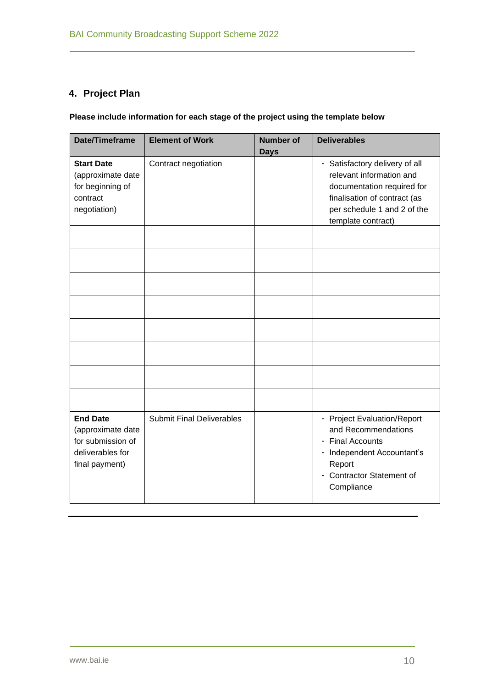## **4. Project Plan**

## **Please include information for each stage of the project using the template below**

| Date/Timeframe                                                                                  | <b>Element of Work</b>           | <b>Number of</b><br><b>Days</b> | <b>Deliverables</b>                                                                                                                                                           |
|-------------------------------------------------------------------------------------------------|----------------------------------|---------------------------------|-------------------------------------------------------------------------------------------------------------------------------------------------------------------------------|
| <b>Start Date</b><br>(approximate date<br>for beginning of<br>contract<br>negotiation)          | Contract negotiation             |                                 | - Satisfactory delivery of all<br>relevant information and<br>documentation required for<br>finalisation of contract (as<br>per schedule 1 and 2 of the<br>template contract) |
|                                                                                                 |                                  |                                 |                                                                                                                                                                               |
|                                                                                                 |                                  |                                 |                                                                                                                                                                               |
|                                                                                                 |                                  |                                 |                                                                                                                                                                               |
|                                                                                                 |                                  |                                 |                                                                                                                                                                               |
|                                                                                                 |                                  |                                 |                                                                                                                                                                               |
|                                                                                                 |                                  |                                 |                                                                                                                                                                               |
|                                                                                                 |                                  |                                 |                                                                                                                                                                               |
| <b>End Date</b><br>(approximate date<br>for submission of<br>deliverables for<br>final payment) | <b>Submit Final Deliverables</b> |                                 | - Project Evaluation/Report<br>and Recommendations<br>- Final Accounts<br>Independent Accountant's<br>۰.<br>Report<br>- Contractor Statement of<br>Compliance                 |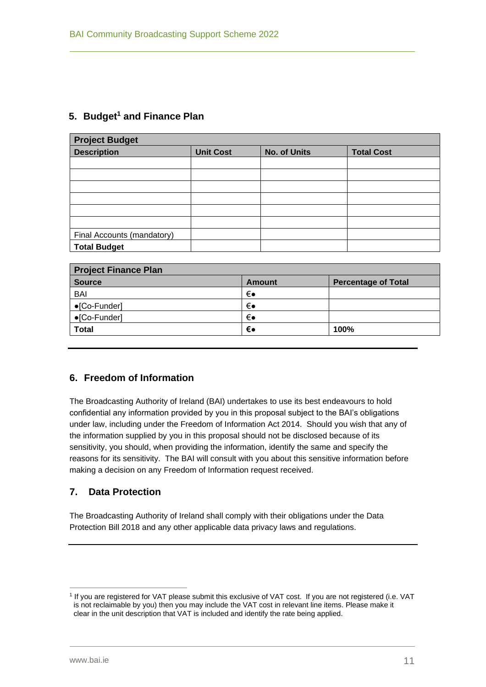## **5. Budget<sup>1</sup> and Finance Plan**

| <b>Project Budget</b>      |                  |                     |                   |  |
|----------------------------|------------------|---------------------|-------------------|--|
| <b>Description</b>         | <b>Unit Cost</b> | <b>No. of Units</b> | <b>Total Cost</b> |  |
|                            |                  |                     |                   |  |
|                            |                  |                     |                   |  |
|                            |                  |                     |                   |  |
|                            |                  |                     |                   |  |
|                            |                  |                     |                   |  |
|                            |                  |                     |                   |  |
| Final Accounts (mandatory) |                  |                     |                   |  |
| <b>Total Budget</b>        |                  |                     |                   |  |

| <b>Project Finance Plan</b> |        |                            |  |
|-----------------------------|--------|----------------------------|--|
| <b>Source</b>               | Amount | <b>Percentage of Total</b> |  |
| <b>BAI</b>                  | €∙     |                            |  |
| $\bullet$ [Co-Funder]       | €∙     |                            |  |
| $\bullet$ [Co-Funder]       | €∙     |                            |  |
| <b>Total</b>                | €∙     | 100%                       |  |

## **6. Freedom of Information**

The Broadcasting Authority of Ireland (BAI) undertakes to use its best endeavours to hold confidential any information provided by you in this proposal subject to the BAI's obligations under law, including under the Freedom of Information Act 2014. Should you wish that any of the information supplied by you in this proposal should not be disclosed because of its sensitivity, you should, when providing the information, identify the same and specify the reasons for its sensitivity. The BAI will consult with you about this sensitive information before making a decision on any Freedom of Information request received.

## **7. Data Protection**

The Broadcasting Authority of Ireland shall comply with their obligations under the Data Protection Bill 2018 and any other applicable data privacy laws and regulations.

<sup>1</sup> If you are registered for VAT please submit this exclusive of VAT cost. If you are not registered (i.e. VAT is not reclaimable by you) then you may include the VAT cost in relevant line items. Please make it clear in the unit description that VAT is included and identify the rate being applied.